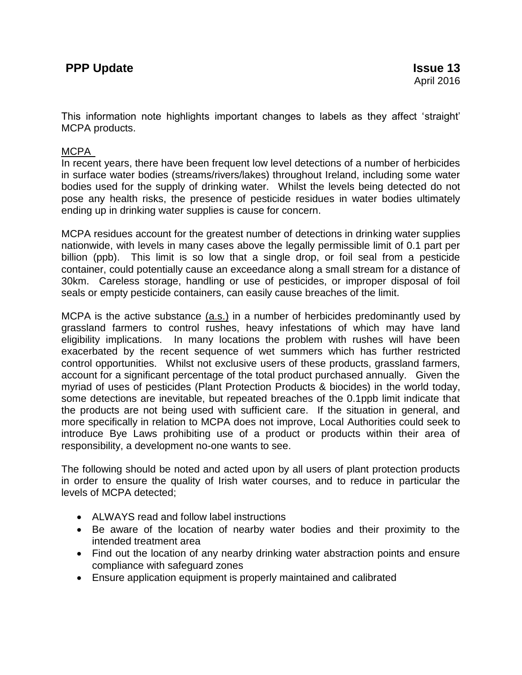This information note highlights important changes to labels as they affect 'straight' MCPA products.

## MCPA

In recent years, there have been frequent low level detections of a number of herbicides in surface water bodies (streams/rivers/lakes) throughout Ireland, including some water bodies used for the supply of drinking water. Whilst the levels being detected do not pose any health risks, the presence of pesticide residues in water bodies ultimately ending up in drinking water supplies is cause for concern.

MCPA residues account for the greatest number of detections in drinking water supplies nationwide, with levels in many cases above the legally permissible limit of 0.1 part per billion (ppb). This limit is so low that a single drop, or foil seal from a pesticide container, could potentially cause an exceedance along a small stream for a distance of 30km. Careless storage, handling or use of pesticides, or improper disposal of foil seals or empty pesticide containers, can easily cause breaches of the limit.

MCPA is the active substance (a.s.) in a number of herbicides predominantly used by grassland farmers to control rushes, heavy infestations of which may have land eligibility implications. In many locations the problem with rushes will have been exacerbated by the recent sequence of wet summers which has further restricted control opportunities. Whilst not exclusive users of these products, grassland farmers, account for a significant percentage of the total product purchased annually. Given the myriad of uses of pesticides (Plant Protection Products & biocides) in the world today, some detections are inevitable, but repeated breaches of the 0.1ppb limit indicate that the products are not being used with sufficient care. If the situation in general, and more specifically in relation to MCPA does not improve, Local Authorities could seek to introduce Bye Laws prohibiting use of a product or products within their area of responsibility, a development no-one wants to see.

The following should be noted and acted upon by all users of plant protection products in order to ensure the quality of Irish water courses, and to reduce in particular the levels of MCPA detected;

- ALWAYS read and follow label instructions
- Be aware of the location of nearby water bodies and their proximity to the intended treatment area
- Find out the location of any nearby drinking water abstraction points and ensure compliance with safeguard zones
- Ensure application equipment is properly maintained and calibrated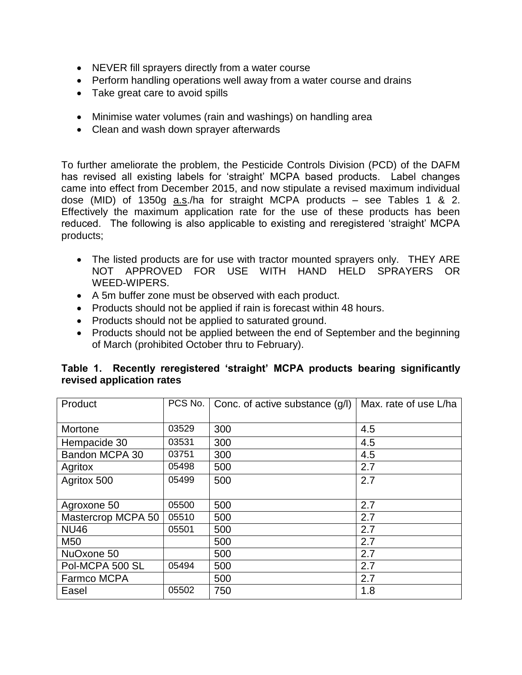- NEVER fill sprayers directly from a water course
- Perform handling operations well away from a water course and drains
- Take great care to avoid spills
- Minimise water volumes (rain and washings) on handling area
- Clean and wash down sprayer afterwards

To further ameliorate the problem, the Pesticide Controls Division (PCD) of the DAFM has revised all existing labels for 'straight' MCPA based products. Label changes came into effect from December 2015, and now stipulate a revised maximum individual dose (MID) of 1350g a.s./ha for straight MCPA products – see Tables 1 & 2. Effectively the maximum application rate for the use of these products has been reduced. The following is also applicable to existing and reregistered 'straight' MCPA products;

- The listed products are for use with tractor mounted sprayers only. THEY ARE NOT APPROVED FOR USE WITH HAND HELD SPRAYERS OR WEED-WIPERS.
- A 5m buffer zone must be observed with each product.
- Products should not be applied if rain is forecast within 48 hours.
- Products should not be applied to saturated ground.
- Products should not be applied between the end of September and the beginning of March (prohibited October thru to February).

|                           |  |  |  |  |  |  | Table 1. Recently reregistered 'straight' MCPA products bearing significantly |  |  |  |
|---------------------------|--|--|--|--|--|--|-------------------------------------------------------------------------------|--|--|--|
| revised application rates |  |  |  |  |  |  |                                                                               |  |  |  |
|                           |  |  |  |  |  |  |                                                                               |  |  |  |

| Product            |       | PCS No.   Conc. of active substance (g/l) | Max. rate of use L/ha |
|--------------------|-------|-------------------------------------------|-----------------------|
|                    |       |                                           |                       |
| Mortone            | 03529 | 300                                       | 4.5                   |
| Hempacide 30       | 03531 | 300                                       | 4.5                   |
| Bandon MCPA 30     | 03751 | 300                                       | 4.5                   |
| Agritox            | 05498 | 500                                       | 2.7                   |
| Agritox 500        | 05499 | 500                                       | 2.7                   |
|                    |       |                                           |                       |
| Agroxone 50        | 05500 | 500                                       | 2.7                   |
| Mastercrop MCPA 50 | 05510 | 500                                       | 2.7                   |
| <b>NU46</b>        | 05501 | 500                                       | 2.7                   |
| M50                |       | 500                                       | 2.7                   |
| NuOxone 50         |       | 500                                       | 2.7                   |
| Pol-MCPA 500 SL    | 05494 | 500                                       | 2.7                   |
| Farmco MCPA        |       | 500                                       | 2.7                   |
| Easel              | 05502 | 750                                       | 1.8                   |